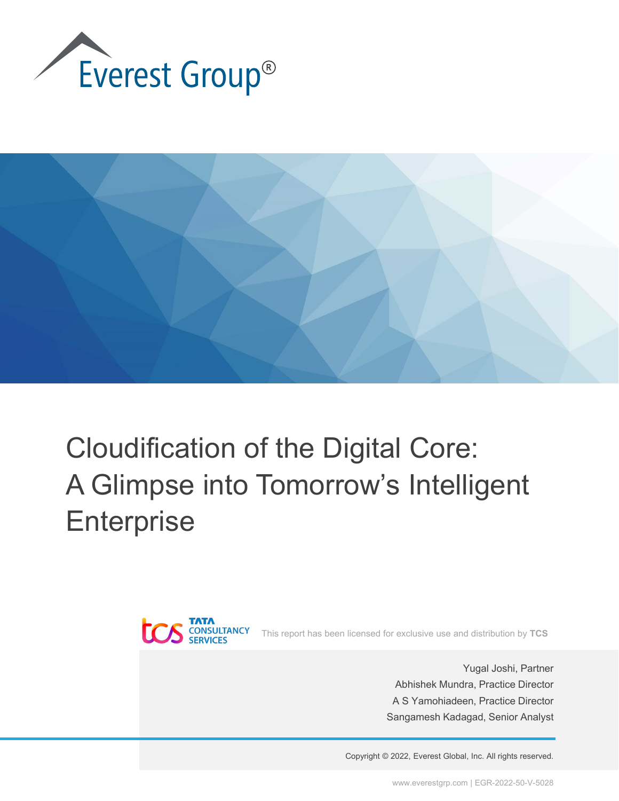



# Cloudification of the Digital Core: A Glimpse into Tomorrow's Intelligent **Enterprise**



This report has been licensed for exclusive use and distribution by **TCS**

Yugal Joshi, Partner Abhishek Mundra, Practice Director A S Yamohiadeen, Practice Director Sangamesh Kadagad, Senior Analyst

Copyright © 2022, Everest Global, Inc. All rights reserved.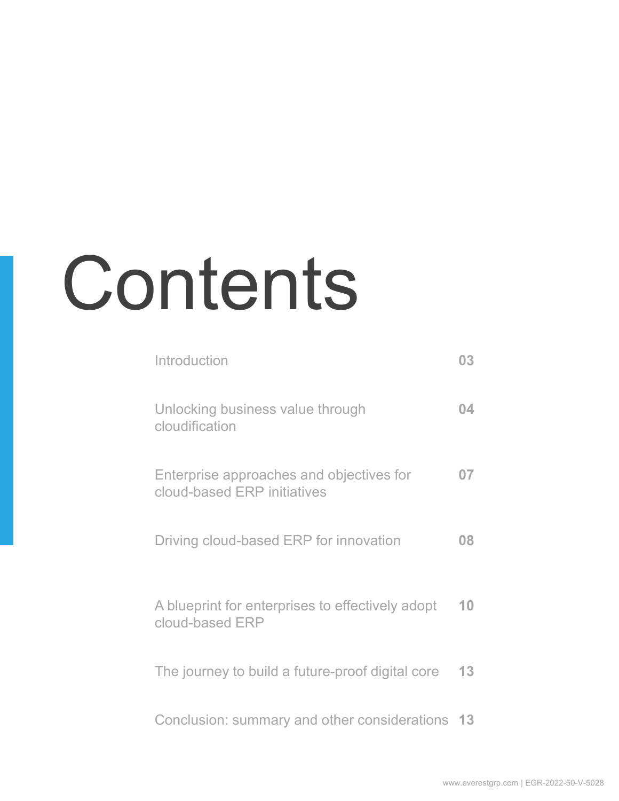# Contents

| Introduction                                                            | 03 |
|-------------------------------------------------------------------------|----|
| Unlocking business value through<br>cloudification                      | 04 |
| Enterprise approaches and objectives for<br>cloud-based ERP initiatives | 07 |
| Driving cloud-based ERP for innovation                                  | 08 |
| A blueprint for enterprises to effectively adopt<br>cloud-based ERP     | 10 |
| The journey to build a future-proof digital core                        | 13 |
| Conclusion: summary and other considerations 13                         |    |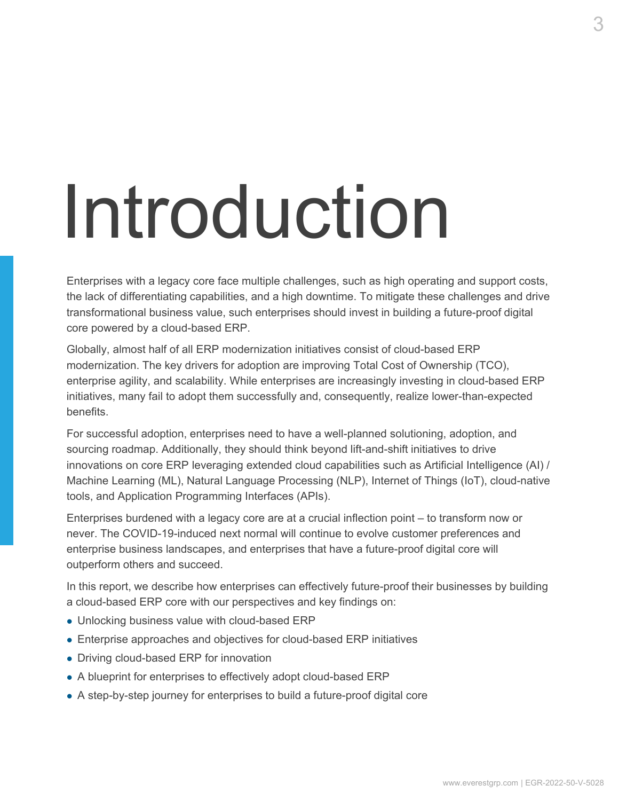# Introduction

Enterprises with a legacy core face multiple challenges, such as high operating and support costs, the lack of differentiating capabilities, and a high downtime. To mitigate these challenges and drive transformational business value, such enterprises should invest in building a future-proof digital core powered by a cloud-based ERP.

Globally, almost half of all ERP modernization initiatives consist of cloud-based ERP modernization. The key drivers for adoption are improving Total Cost of Ownership (TCO), enterprise agility, and scalability. While enterprises are increasingly investing in cloud-based ERP initiatives, many fail to adopt them successfully and, consequently, realize lower-than-expected benefits.

For successful adoption, enterprises need to have a well-planned solutioning, adoption, and sourcing roadmap. Additionally, they should think beyond lift-and-shift initiatives to drive innovations on core ERP leveraging extended cloud capabilities such as Artificial Intelligence (AI) / Machine Learning (ML), Natural Language Processing (NLP), Internet of Things (IoT), cloud-native tools, and Application Programming Interfaces (APIs).

Enterprises burdened with a legacy core are at a crucial inflection point – to transform now or never. The COVID-19-induced next normal will continue to evolve customer preferences and enterprise business landscapes, and enterprises that have a future-proof digital core will outperform others and succeed.

In this report, we describe how enterprises can effectively future-proof their businesses by building a cloud-based ERP core with our perspectives and key findings on:

- Unlocking business value with cloud-based ERP
- Enterprise approaches and objectives for cloud-based ERP initiatives
- Driving cloud-based ERP for innovation
- A blueprint for enterprises to effectively adopt cloud-based ERP
- A step-by-step journey for enterprises to build a future-proof digital core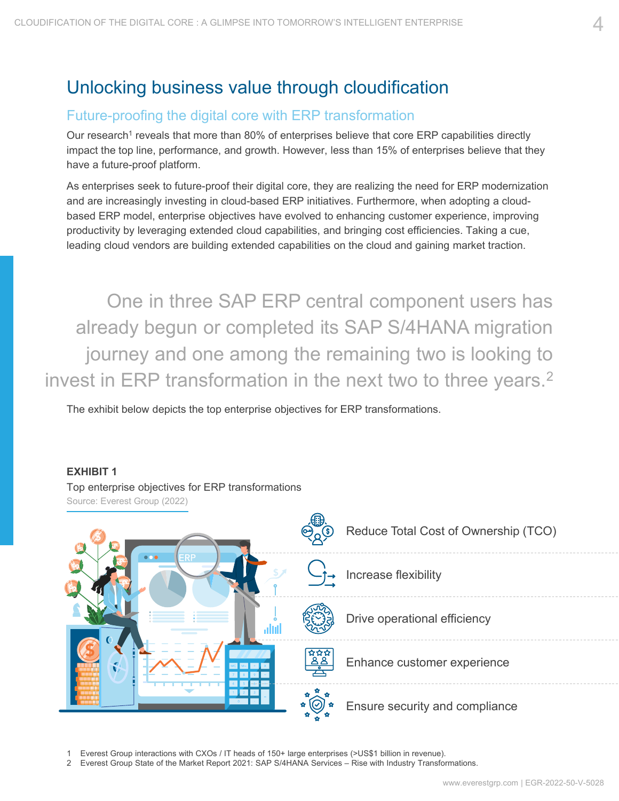# Unlocking business value through cloudification

#### Future-proofing the digital core with ERP transformation

Our research<sup>1</sup> reveals that more than 80% of enterprises believe that core ERP capabilities directly impact the top line, performance, and growth. However, less than 15% of enterprises believe that they have a future-proof platform.

As enterprises seek to future-proof their digital core, they are realizing the need for ERP modernization and are increasingly investing in cloud-based ERP initiatives. Furthermore, when adopting a cloudbased ERP model, enterprise objectives have evolved to enhancing customer experience, improving productivity by leveraging extended cloud capabilities, and bringing cost efficiencies. Taking a cue, leading cloud vendors are building extended capabilities on the cloud and gaining market traction.

One in three SAP ERP central component users has already begun or completed its SAP S/4HANA migration journey and one among the remaining two is looking to invest in ERP transformation in the next two to three years.<sup>2</sup>

The exhibit below depicts the top enterprise objectives for ERP transformations.

**EXHIBIT 1**



1 Everest Group interactions with CXOs / IT heads of 150+ large enterprises (>US\$1 billion in revenue).

2 Everest Group State of the Market Report 2021: SAP S/4HANA Services – Rise with Industry Transformations.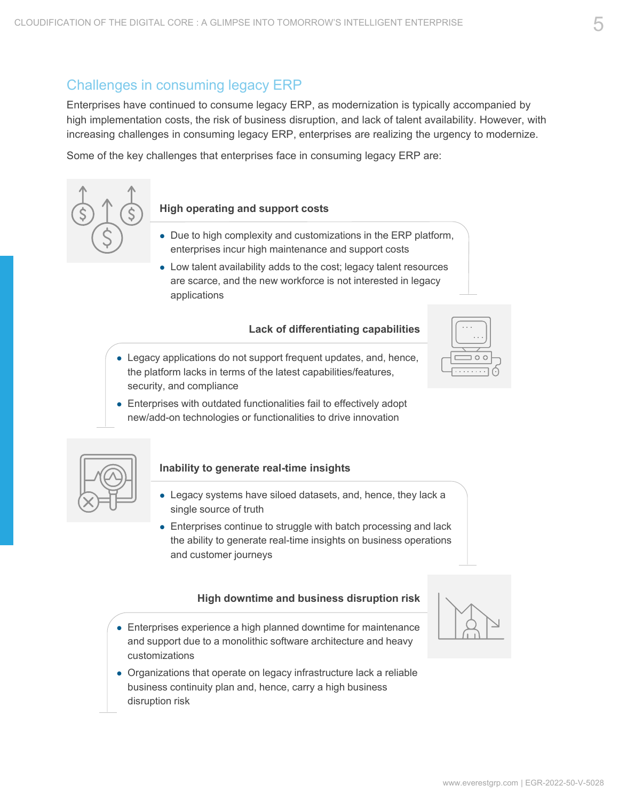### Challenges in consuming legacy ERP

Enterprises have continued to consume legacy ERP, as modernization is typically accompanied by high implementation costs, the risk of business disruption, and lack of talent availability. However, with increasing challenges in consuming legacy ERP, enterprises are realizing the urgency to modernize.

Some of the key challenges that enterprises face in consuming legacy ERP are:



#### **High operating and support costs**

- Due to high complexity and customizations in the ERP platform, enterprises incur high maintenance and support costs
- Low talent availability adds to the cost; legacy talent resources are scarce, and the new workforce is not interested in legacy applications

#### **Lack of differentiating capabilities**

- Legacy applications do not support frequent updates, and, hence, the platform lacks in terms of the latest capabilities/features, security, and compliance
- Enterprises with outdated functionalities fail to effectively adopt new/add-on technologies or functionalities to drive innovation



#### **Inability to generate real-time insights**

- Legacy systems have siloed datasets, and, hence, they lack a single source of truth
- Enterprises continue to struggle with batch processing and lack the ability to generate real-time insights on business operations and customer journeys

#### **High downtime and business disruption risk**

- Enterprises experience a high planned downtime for maintenance and support due to a monolithic software architecture and heavy customizations
- Organizations that operate on legacy infrastructure lack a reliable business continuity plan and, hence, carry a high business disruption risk



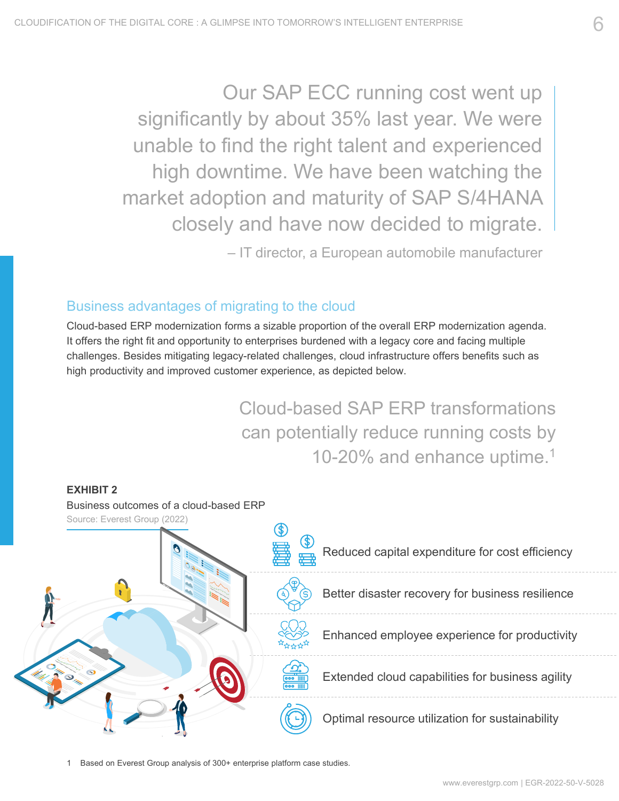Our SAP ECC running cost went up significantly by about 35% last year. We were unable to find the right talent and experienced high downtime. We have been watching the market adoption and maturity of SAP S/4HANA closely and have now decided to migrate.

– IT director, a European automobile manufacturer

### Business advantages of migrating to the cloud

Cloud-based ERP modernization forms a sizable proportion of the overall ERP modernization agenda. It offers the right fit and opportunity to enterprises burdened with a legacy core and facing multiple challenges. Besides mitigating legacy-related challenges, cloud infrastructure offers benefits such as high productivity and improved customer experience, as depicted below.

> Cloud-based SAP ERP transformations can potentially reduce running costs by 10-20% and enhance uptime.1



Based on Everest Group analysis of 300+ enterprise platform case studies.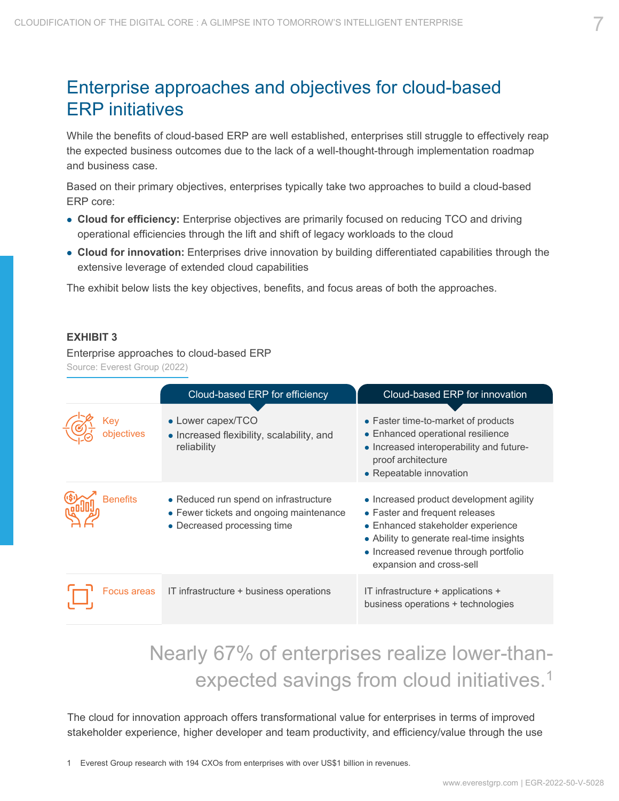# Enterprise approaches and objectives for cloud-based ERP initiatives

While the benefits of cloud-based ERP are well established, enterprises still struggle to effectively reap the expected business outcomes due to the lack of a well-thought-through implementation roadmap and business case.

Based on their primary objectives, enterprises typically take two approaches to build a cloud-based ERP core:

- **Cloud for efficiency:** Enterprise objectives are primarily focused on reducing TCO and driving operational efficiencies through the lift and shift of legacy workloads to the cloud
- **Cloud for innovation:** Enterprises drive innovation by building differentiated capabilities through the extensive leverage of extended cloud capabilities

The exhibit below lists the key objectives, benefits, and focus areas of both the approaches.

#### **EXHIBIT 3**

Enterprise approaches to cloud-based ERP

Source: Everest Group (2022)

|                   | Cloud-based ERP for efficiency                                                                                  | Cloud-based ERP for innovation                                                                                                                                                                                                  |
|-------------------|-----------------------------------------------------------------------------------------------------------------|---------------------------------------------------------------------------------------------------------------------------------------------------------------------------------------------------------------------------------|
| Key<br>objectives | • Lower capex/TCO<br>• Increased flexibility, scalability, and<br>reliability                                   | • Faster time-to-market of products<br>• Enhanced operational resilience<br>• Increased interoperability and future-<br>proof architecture<br>• Repeatable innovation                                                           |
| <b>Benefits</b>   | • Reduced run spend on infrastructure<br>• Fewer tickets and ongoing maintenance<br>• Decreased processing time | • Increased product development agility<br>• Faster and frequent releases<br>• Enhanced stakeholder experience<br>• Ability to generate real-time insights<br>• Increased revenue through portfolio<br>expansion and cross-sell |
| Focus areas       | IT infrastructure + business operations                                                                         | IT infrastructure + applications +<br>business operations + technologies                                                                                                                                                        |

# Nearly 67% of enterprises realize lower-thanexpected savings from cloud initiatives.1

The cloud for innovation approach offers transformational value for enterprises in terms of improved stakeholder experience, higher developer and team productivity, and efficiency/value through the use

1 Everest Group research with 194 CXOs from enterprises with over US\$1 billion in revenues.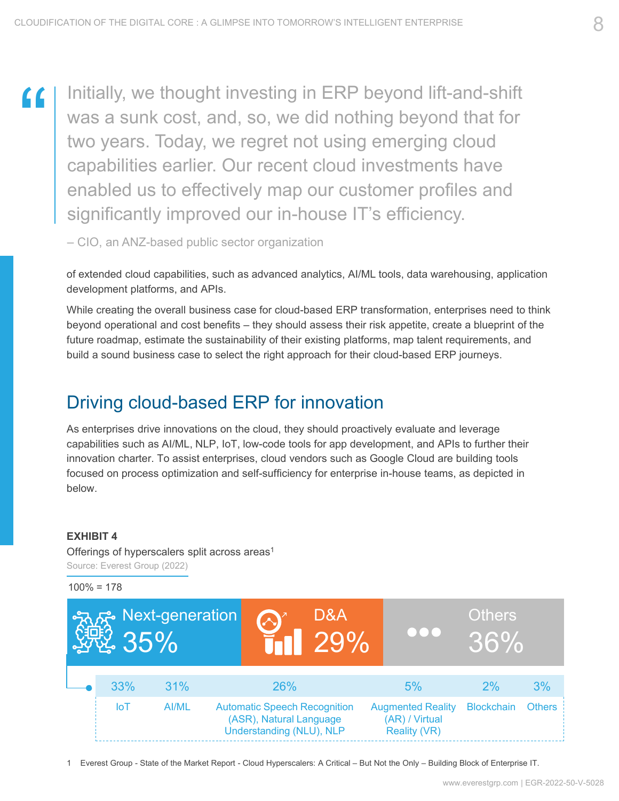"

Initially, we thought investing in ERP beyond lift-and-shift was a sunk cost, and, so, we did nothing beyond that for two years. Today, we regret not using emerging cloud capabilities earlier. Our recent cloud investments have enabled us to effectively map our customer profiles and significantly improved our in-house IT's efficiency.

– CIO, an ANZ-based public sector organization

of extended cloud capabilities, such as advanced analytics, AI/ML tools, data warehousing, application development platforms, and APIs.

While creating the overall business case for cloud-based ERP transformation, enterprises need to think beyond operational and cost benefits – they should assess their risk appetite, create a blueprint of the future roadmap, estimate the sustainability of their existing platforms, map talent requirements, and build a sound business case to select the right approach for their cloud-based ERP journeys.

# Driving cloud-based ERP for innovation

As enterprises drive innovations on the cloud, they should proactively evaluate and leverage capabilities such as AI/ML, NLP, IoT, low-code tools for app development, and APIs to further their innovation charter. To assist enterprises, cloud vendors such as Google Cloud are building tools focused on process optimization and self-sufficiency for enterprise in-house teams, as depicted in below.

#### **EXHIBIT 4**

Offerings of hyperscalers split across areas<sup>1</sup> Source: Everest Group (2022)

 $100\% = 178$ 



1 Everest Group - State of the Market Report - Cloud Hyperscalers: A Critical – But Not the Only – Building Block of Enterprise IT.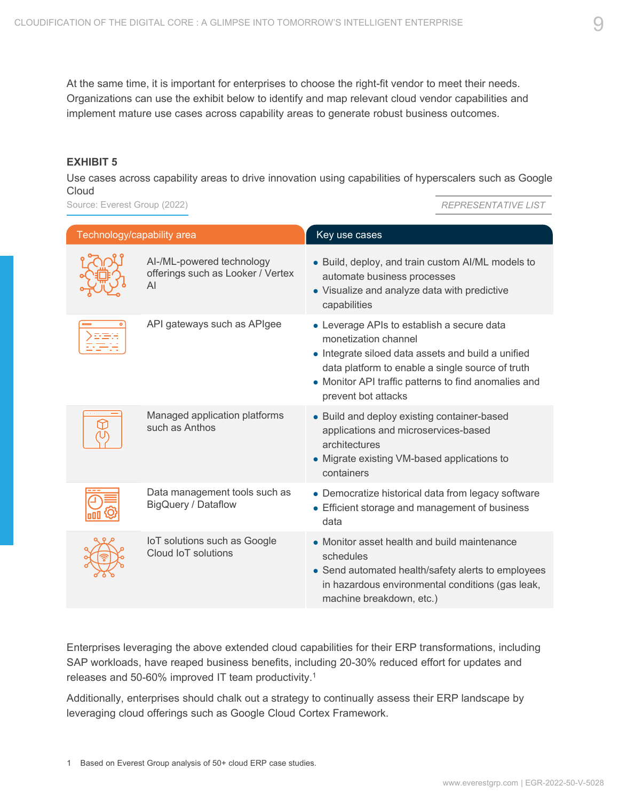At the same time, it is important for enterprises to choose the right-fit vendor to meet their needs. Organizations can use the exhibit below to identify and map relevant cloud vendor capabilities and implement mature use cases across capability areas to generate robust business outcomes.

#### **EXHIBIT 5**

Use cases across capability areas to drive innovation using capabilities of hyperscalers such as Google **Cloud** 

Source: Everest Group (2022)

*REPRESENTATIVE LIST*

| Technology/capability area |                                                                      | Key use cases                                                                                                                                                                                                                                               |
|----------------------------|----------------------------------------------------------------------|-------------------------------------------------------------------------------------------------------------------------------------------------------------------------------------------------------------------------------------------------------------|
|                            | AI-/ML-powered technology<br>offerings such as Looker / Vertex<br>AI | • Build, deploy, and train custom AI/ML models to<br>automate business processes<br>• Visualize and analyze data with predictive<br>capabilities                                                                                                            |
|                            | API gateways such as APIgee                                          | • Leverage APIs to establish a secure data<br>monetization channel<br>• Integrate siloed data assets and build a unified<br>data platform to enable a single source of truth<br>• Monitor API traffic patterns to find anomalies and<br>prevent bot attacks |
|                            | Managed application platforms<br>such as Anthos                      | • Build and deploy existing container-based<br>applications and microservices-based<br>architectures<br>• Migrate existing VM-based applications to<br>containers                                                                                           |
|                            | Data management tools such as<br><b>BigQuery / Dataflow</b>          | • Democratize historical data from legacy software<br>• Efficient storage and management of business<br>data                                                                                                                                                |
|                            | IoT solutions such as Google<br>Cloud IoT solutions                  | • Monitor asset health and build maintenance<br>schedules<br>• Send automated health/safety alerts to employees<br>in hazardous environmental conditions (gas leak,<br>machine breakdown, etc.)                                                             |

Enterprises leveraging the above extended cloud capabilities for their ERP transformations, including SAP workloads, have reaped business benefits, including 20-30% reduced effort for updates and releases and 50-60% improved IT team productivity.1

Additionally, enterprises should chalk out a strategy to continually assess their ERP landscape by leveraging cloud offerings such as Google Cloud Cortex Framework.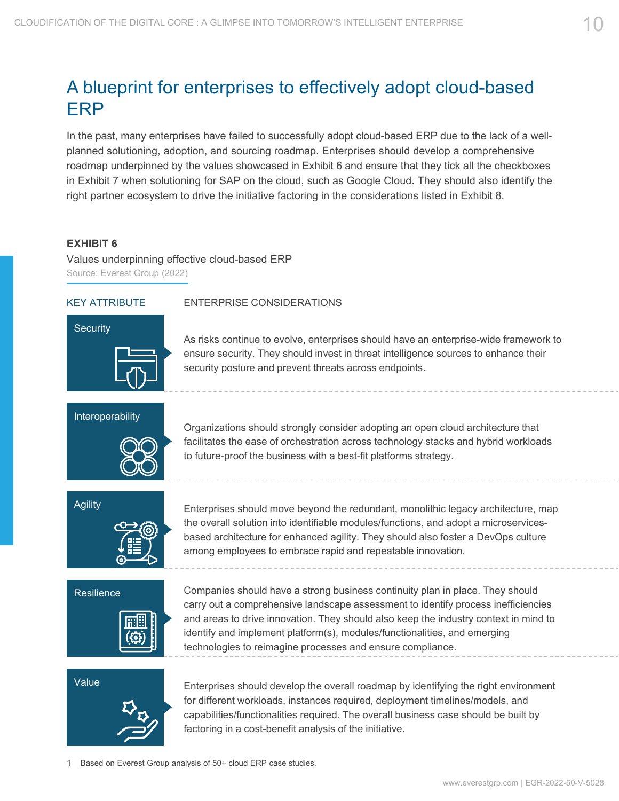# A blueprint for enterprises to effectively adopt cloud-based ERP

In the past, many enterprises have failed to successfully adopt cloud-based ERP due to the lack of a wellplanned solutioning, adoption, and sourcing roadmap. Enterprises should develop a comprehensive roadmap underpinned by the values showcased in Exhibit 6 and ensure that they tick all the checkboxes in Exhibit 7 when solutioning for SAP on the cloud, such as Google Cloud. They should also identify the right partner ecosystem to drive the initiative factoring in the considerations listed in Exhibit 8.

#### **EXHIBIT 6**

Values underpinning effective cloud-based ERP Source: Everest Group (2022)

Interoperability



#### KEY ATTRIBUTE ENTERPRISE CONSIDERATIONS

As risks continue to evolve, enterprises should have an enterprise-wide framework to ensure security. They should invest in threat intelligence sources to enhance their security posture and prevent threats across endpoints.

Organizations should strongly consider adopting an open cloud architecture that facilitates the ease of orchestration across technology stacks and hybrid workloads to future-proof the business with a best-fit platforms strategy.



Enterprises should move beyond the redundant, monolithic legacy architecture, map the overall solution into identifiable modules/functions, and adopt a microservicesbased architecture for enhanced agility. They should also foster a DevOps culture among employees to embrace rapid and repeatable innovation.



Companies should have a strong business continuity plan in place. They should carry out a comprehensive landscape assessment to identify process inefficiencies and areas to drive innovation. They should also keep the industry context in mind to identify and implement platform(s), modules/functionalities, and emerging technologies to reimagine processes and ensure compliance.



Enterprises should develop the overall roadmap by identifying the right environment for different workloads, instances required, deployment timelines/models, and capabilities/functionalities required. The overall business case should be built by factoring in a cost-benefit analysis of the initiative.

Based on Everest Group analysis of 50+ cloud ERP case studies.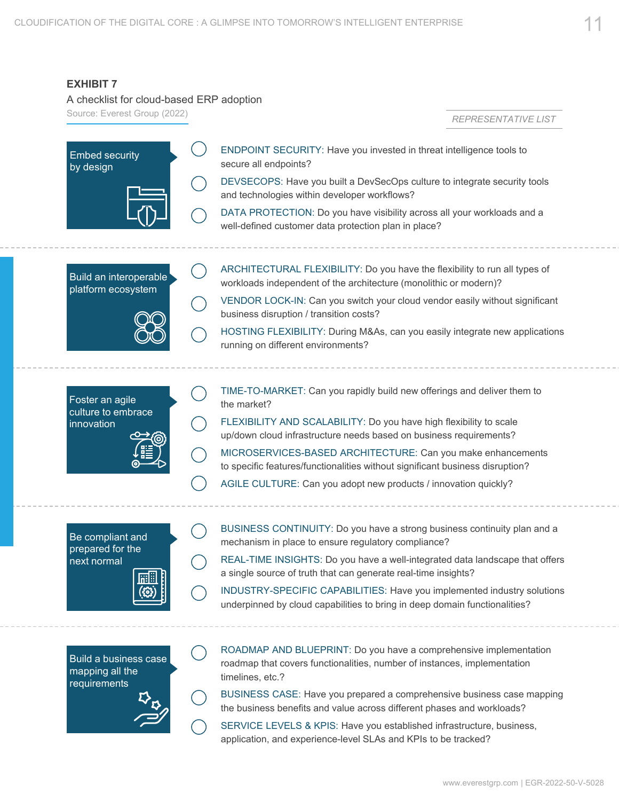#### **EXHIBIT 7**

mapping all the requirements

A checklist for cloud-based ERP adoption

Source: Everest Group (2022)

*REPRESENTATIVE LIST*



timelines, etc.? BUSINESS CASE: Have you prepared a comprehensive business case mapping

the business benefits and value across different phases and workloads?

SERVICE LEVELS & KPIS: Have you established infrastructure, business, application, and experience-level SLAs and KPIs to be tracked?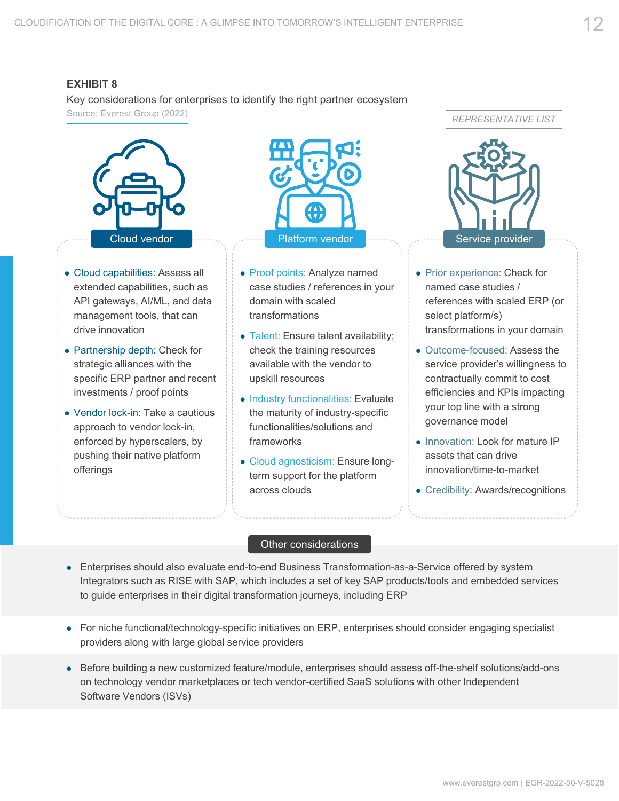#### **EXHIBIT 8**

Key considerations for enterprises to identify the right partner ecosystem Source: Everest Group (2022)



- Cloud capabilities: Assess all extended capabilities, such as API gateways, AI/ML, and data management tools, that can drive innovation
- Partnership depth: Check for strategic alliances with the specific ERP partner and recent investments / proof points
- Vendor lock-in: Take a cautious approach to vendor lock-in, enforced by hyperscalers, by pushing their native platform offerings



- Proof points: Analyze named case studies / references in your domain with scaled transformations
- Talent: Ensure talent availability; check the training resources available with the vendor to upskill resources
- Industry functionalities: Evaluate the maturity of industry-specific functionalities/solutions and frameworks
- Cloud agnosticism: Ensure longterm support for the platform across clouds

*REPRESENTATIVE LIST*



- Prior experience: Check for named case studies / references with scaled ERP (or select platform/s) transformations in your domain
- Outcome-focused: Assess the service provider's willingness to contractually commit to cost efficiencies and KPIs impacting your top line with a strong governance model
- Innovation: Look for mature IP assets that can drive innovation/time-to-market
- Credibility: Awards/recognitions

#### Other considerations

- Enterprises should also evaluate end-to-end Business Transformation-as-a-Service offered by system Integrators such as RISE with SAP, which includes a set of key SAP products/tools and embedded services to guide enterprises in their digital transformation journeys, including ERP
- For niche functional/technology-specific initiatives on ERP, enterprises should consider engaging specialist providers along with large global service providers
- Before building a new customized feature/module, enterprises should assess off-the-shelf solutions/add-ons on technology vendor marketplaces or tech vendor-certified SaaS solutions with other Independent Software Vendors (ISVs)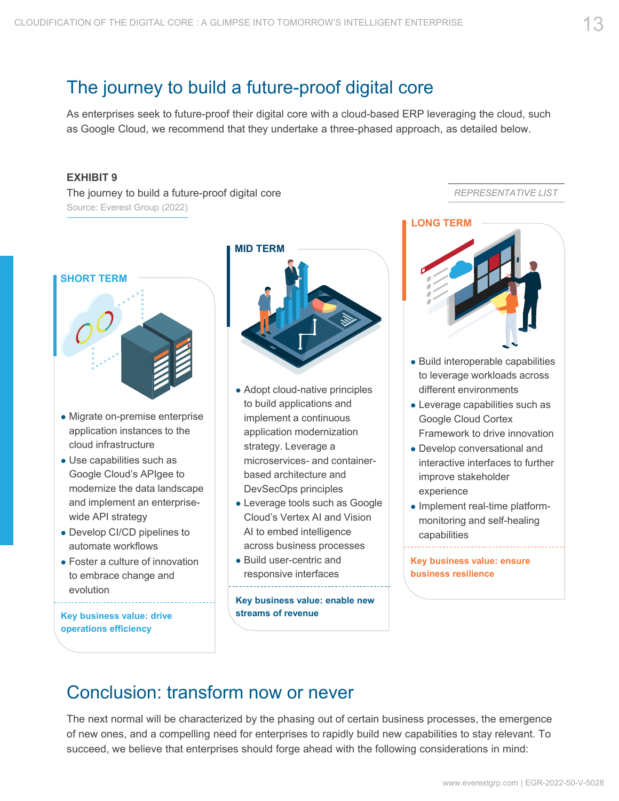## The journey to build a future-proof digital core

As enterprises seek to future-proof their digital core with a cloud-based ERP leveraging the cloud, such as Google Cloud, we recommend that they undertake a three-phased approach, as detailed below.

#### **EXHIBIT 9**

The journey to build a future-proof digital core Source: Everest Group (2022)



- Migrate on-premise enterprise application instances to the cloud infrastructure
- Use capabilities such as Google Cloud's APIgee to modernize the data landscape and implement an enterprisewide API strategy
- Develop CI/CD pipelines to automate workflows
- Foster a culture of innovation to embrace change and evolution

**Key business value: drive operations efficiency**



- Adopt cloud-native principles to build applications and implement a continuous application modernization strategy. Leverage a microservices- and containerbased architecture and DevSecOps principles
- Leverage tools such as Google Cloud's Vertex AI and Vision AI to embed intelligence across business processes
- Build user-centric and responsive interfaces

**Key business value: enable new streams of revenue**

*REPRESENTATIVE LIST*



- Build interoperable capabilities to leverage workloads across different environments
- Leverage capabilities such as Google Cloud Cortex Framework to drive innovation
- Develop conversational and interactive interfaces to further improve stakeholder experience
- Implement real-time platformmonitoring and self-healing capabilities

**Key business value: ensure business resilience**

# Conclusion: transform now or never

The next normal will be characterized by the phasing out of certain business processes, the emergence of new ones, and a compelling need for enterprises to rapidly build new capabilities to stay relevant. To succeed, we believe that enterprises should forge ahead with the following considerations in mind: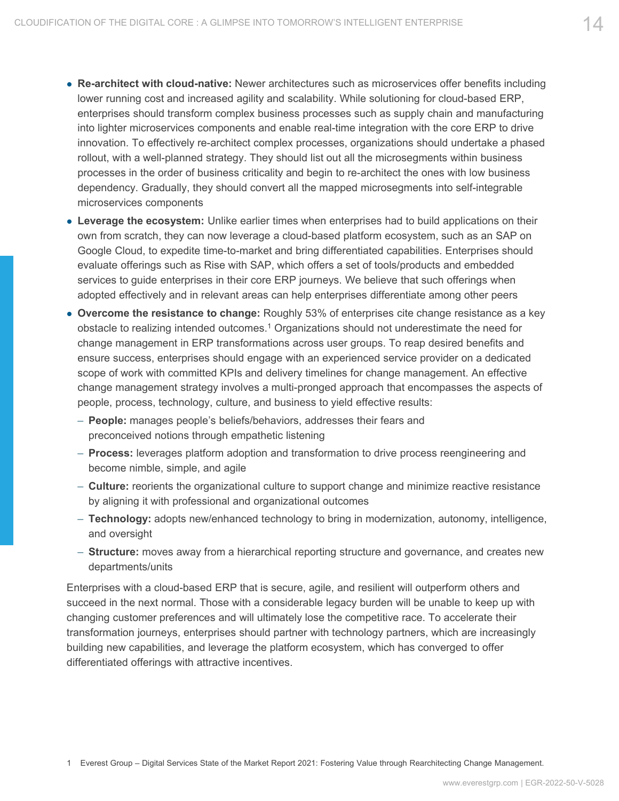- **Re-architect with cloud-native:** Newer architectures such as microservices offer benefits including lower running cost and increased agility and scalability. While solutioning for cloud-based ERP, enterprises should transform complex business processes such as supply chain and manufacturing into lighter microservices components and enable real-time integration with the core ERP to drive innovation. To effectively re-architect complex processes, organizations should undertake a phased rollout, with a well-planned strategy. They should list out all the microsegments within business processes in the order of business criticality and begin to re-architect the ones with low business dependency. Gradually, they should convert all the mapped microsegments into self-integrable microservices components
- **Leverage the ecosystem:** Unlike earlier times when enterprises had to build applications on their own from scratch, they can now leverage a cloud-based platform ecosystem, such as an SAP on Google Cloud, to expedite time-to-market and bring differentiated capabilities. Enterprises should evaluate offerings such as Rise with SAP, which offers a set of tools/products and embedded services to guide enterprises in their core ERP journeys. We believe that such offerings when adopted effectively and in relevant areas can help enterprises differentiate among other peers
- **Overcome the resistance to change:** Roughly 53% of enterprises cite change resistance as a key obstacle to realizing intended outcomes.<sup>1</sup> Organizations should not underestimate the need for change management in ERP transformations across user groups. To reap desired benefits and ensure success, enterprises should engage with an experienced service provider on a dedicated scope of work with committed KPIs and delivery timelines for change management. An effective change management strategy involves a multi-pronged approach that encompasses the aspects of people, process, technology, culture, and business to yield effective results:
	- **People:** manages people's beliefs/behaviors, addresses their fears and preconceived notions through empathetic listening
	- **Process:** leverages platform adoption and transformation to drive process reengineering and become nimble, simple, and agile
	- **Culture:** reorients the organizational culture to support change and minimize reactive resistance by aligning it with professional and organizational outcomes
	- **Technology:** adopts new/enhanced technology to bring in modernization, autonomy, intelligence, and oversight
	- **Structure:** moves away from a hierarchical reporting structure and governance, and creates new departments/units

Enterprises with a cloud-based ERP that is secure, agile, and resilient will outperform others and succeed in the next normal. Those with a considerable legacy burden will be unable to keep up with changing customer preferences and will ultimately lose the competitive race. To accelerate their transformation journeys, enterprises should partner with technology partners, which are increasingly building new capabilities, and leverage the platform ecosystem, which has converged to offer differentiated offerings with attractive incentives.